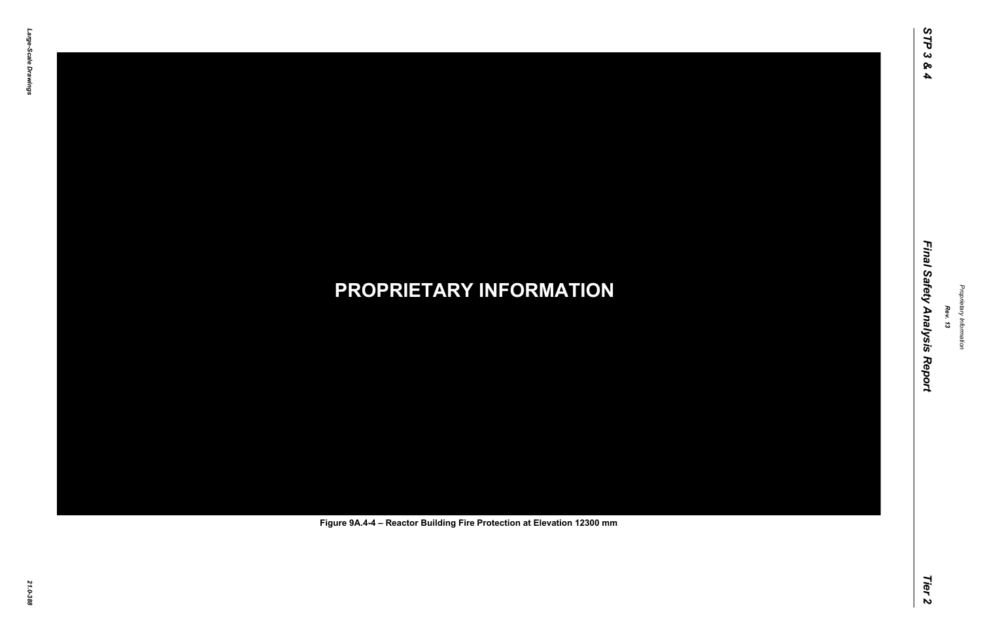# *21.0-388* **PROPRIETARY INFORMATION Figure 9A.4-4 – Reactor Building Fire Protection at Elevation 12300 mm**

*Rev. 13*

### *STP 3 & 4 Final Safety Analysis Report Tier 2* Final Safety Analysis Report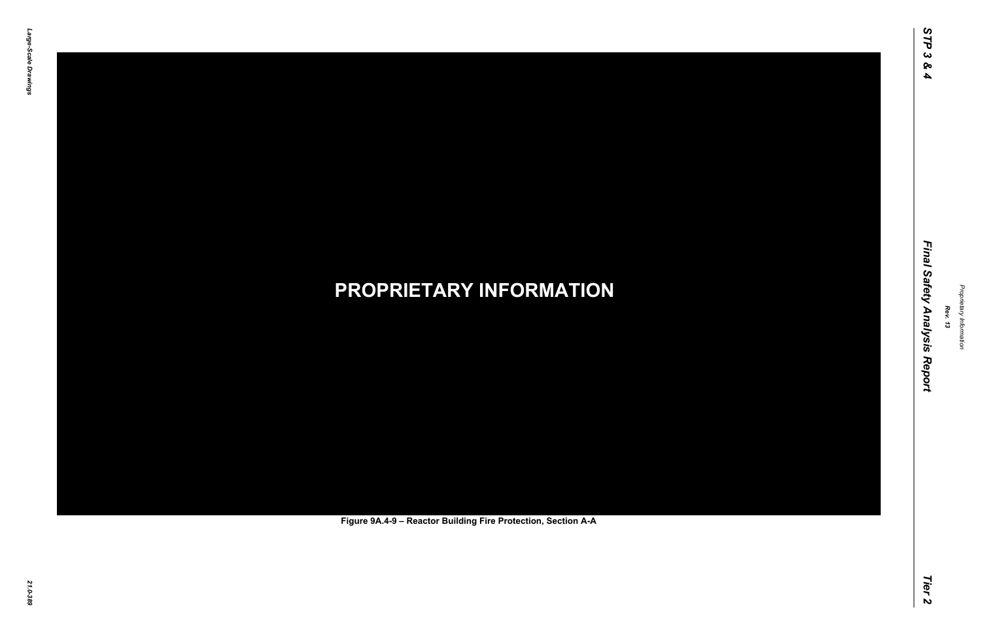# *21.0-389* **PROPRIETARY INFORMATION Figure 9A.4-9 – Reactor Building Fire Protection, Section A-A**

*Rev. 13*

### *STP 3 & 4 Final Safety Analysis Report Tier 2* Final Safety Analysis Report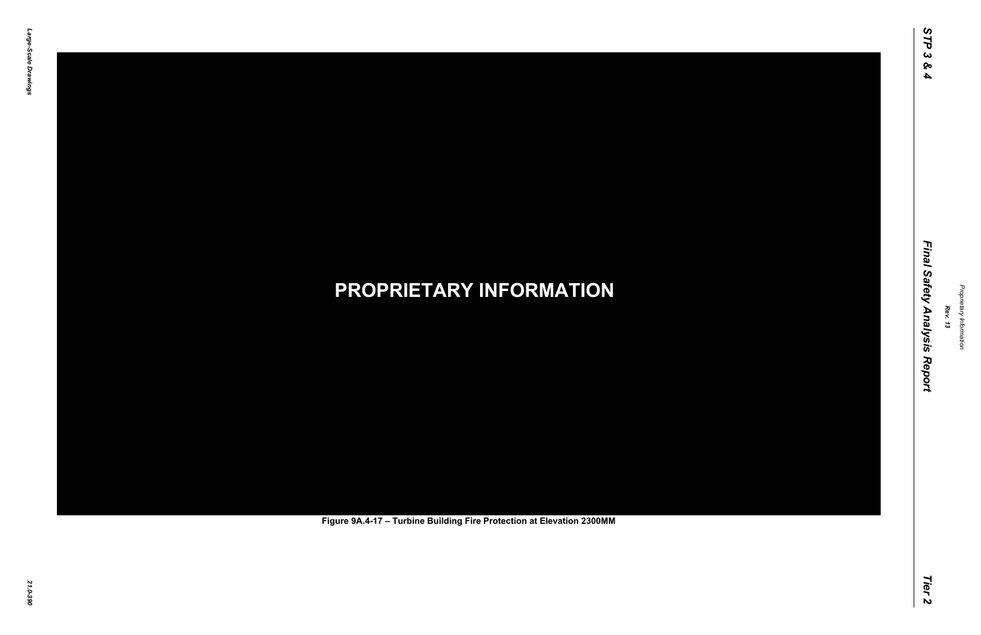# *21.0-390* **PROPRIETARY INFORMATION Figure 9A.4-17 – Turbine Building Fire Protection at Elevation 2300MM**

*Rev. 13*

### *STP 3 & 4 Final Safety Analysis Report Tier 2* Final Safety Analysis Report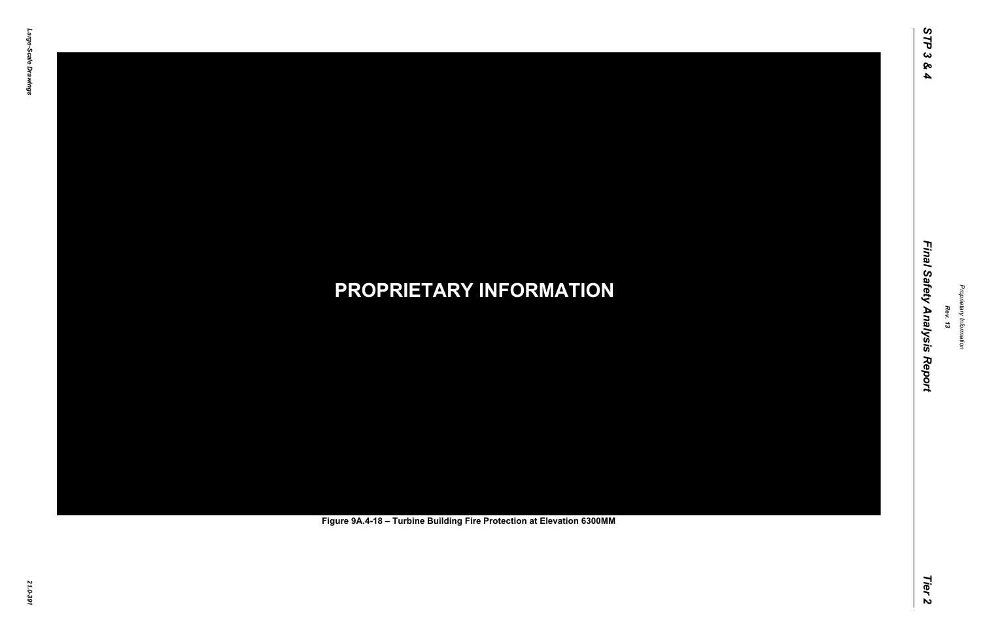# *21.0-391* **PROPRIETARY INFORMATION Figure 9A.4-18 – Turbine Building Fire Protection at Elevation 6300MM**

*Rev. 13*

### *STP 3 & 4 Final Safety Analysis Report Tier 2* Final Safety Analysis Report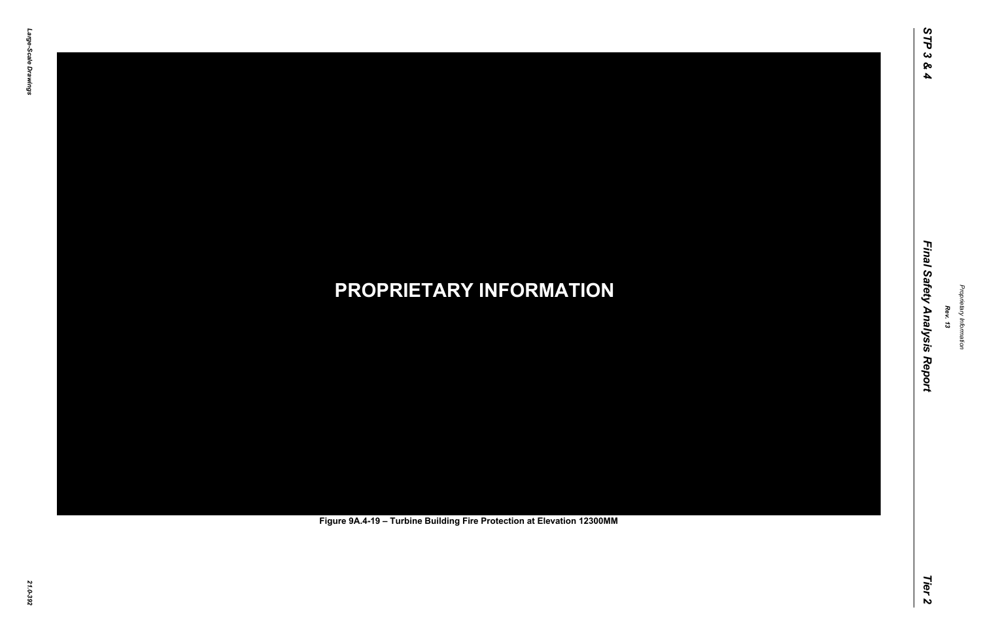# *21.0-392* **PROPRIETARY INFORMATION Figure 9A.4-19 – Turbine Building Fire Protection at Elevation 12300MM**

*Rev. 13*

### *STP 3 & 4 Final Safety Analysis Report Tier 2* Final Safety Analysis Report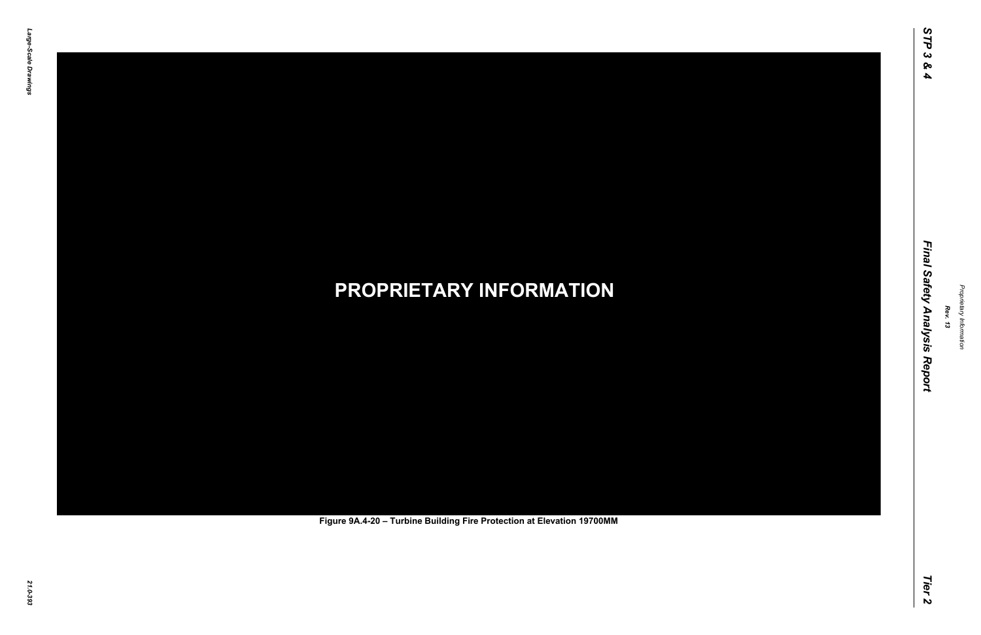# *21.0-393* **PROPRIETARY INFORMATION Figure 9A.4-20 – Turbine Building Fire Protection at Elevation 19700MM**

*Rev. 13*

### *STP 3 & 4 Final Safety Analysis Report Tier 2* Final Safety Analysis Report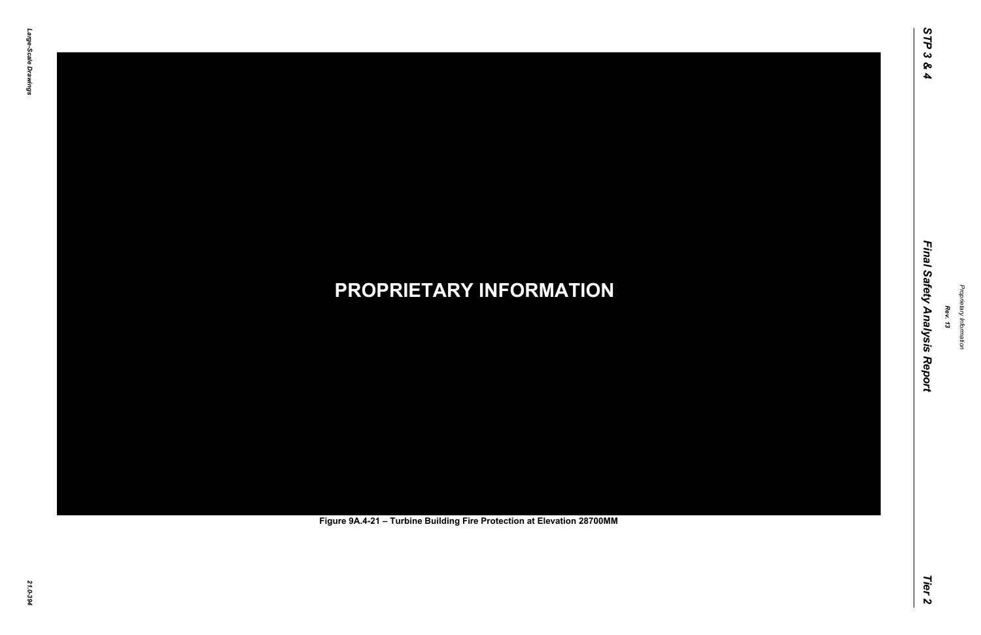# *21.0-394* **PROPRIETARY INFORMATION Figure 9A.4-21 – Turbine Building Fire Protection at Elevation 28700MM**

*Rev. 13*

### *STP 3 & 4 Final Safety Analysis Report Tier 2* Final Safety Analysis Report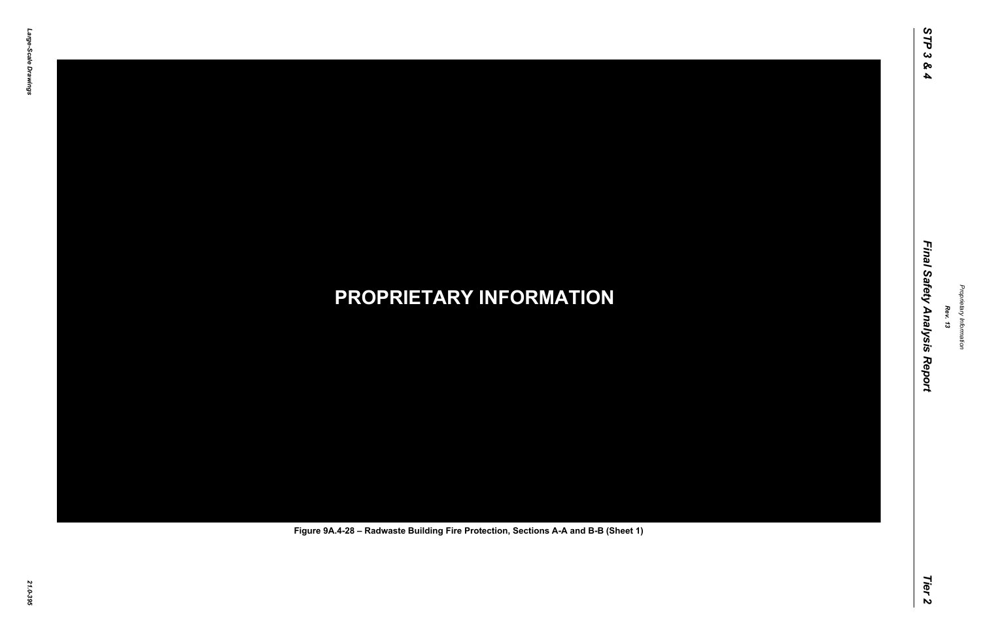## *21.0-395* **PROPRIETARY INFORMATION Figure 9A.4-28 – Radwaste Building Fire Protection, Sections A-A and B-B (Sheet 1)**

*Rev. 13*

### *STP 3 & 4 Final Safety Analysis Report Tier 2* Final Safety Analysis Report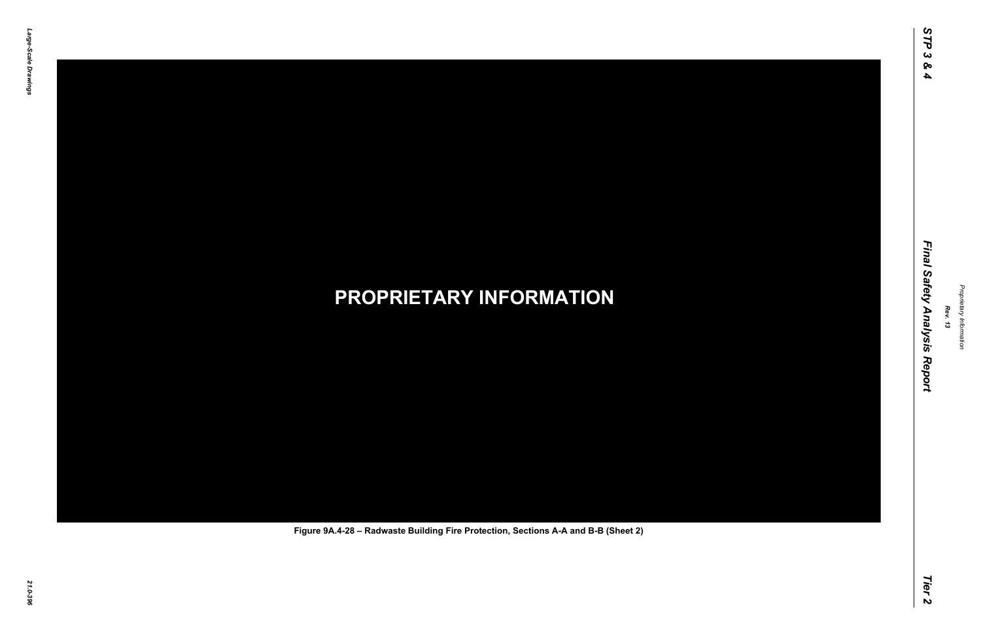## *21.0-396* **PROPRIETARY INFORMATION Figure 9A.4-28 – Radwaste Building Fire Protection, Sections A-A and B-B (Sheet 2)**

*Rev. 13*

### *STP 3 & 4 Final Safety Analysis Report Tier 2* Final Safety Analysis Report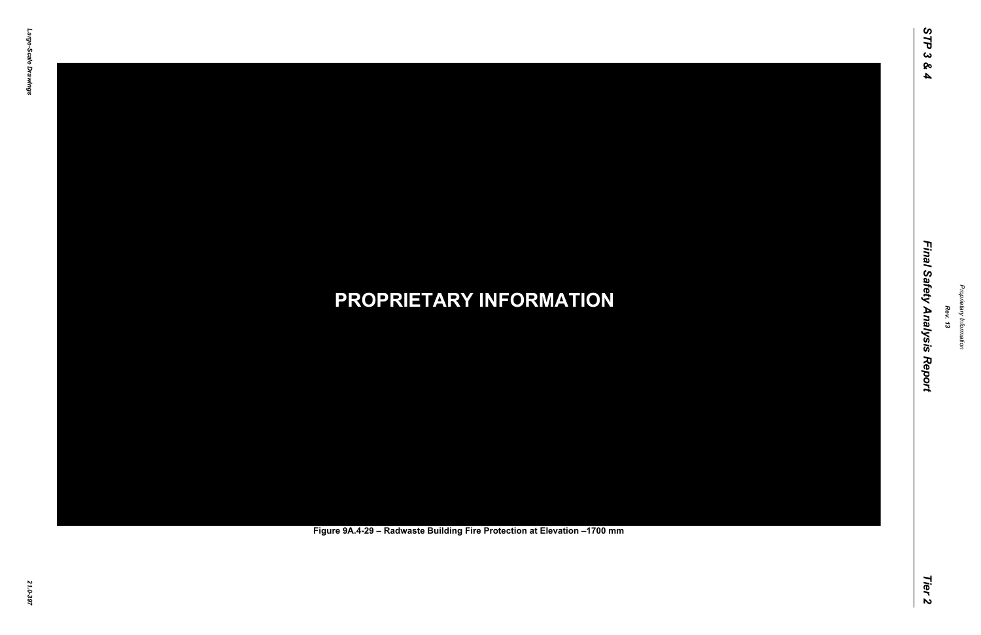### *21.0-397* **PROPRIETARY INFORMATION Figure 9A.4-29 – Radwaste Building Fire Protection at Elevation –1700 mm**

*Rev. 13*

### *STP 3 & 4 Final Safety Analysis Report Tier 2* Final Safety Analysis Report

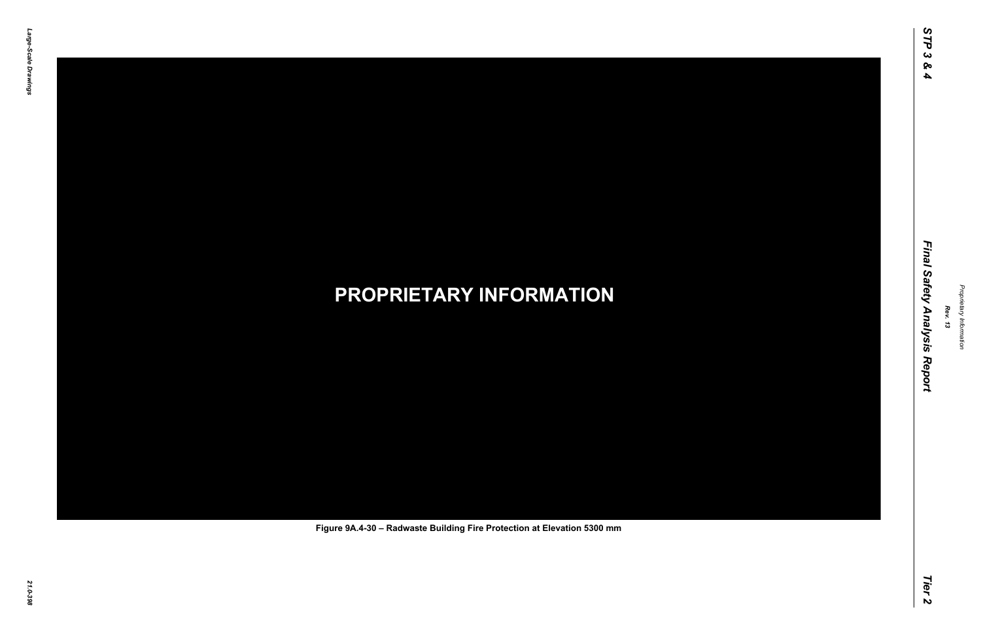## *21.0-398* **PROPRIETARY INFORMATION Figure 9A.4-30 – Radwaste Building Fire Protection at Elevation 5300 mm**

*Rev. 13*

### *STP 3 & 4 Final Safety Analysis Report Tier 2* Final Safety Analysis Report

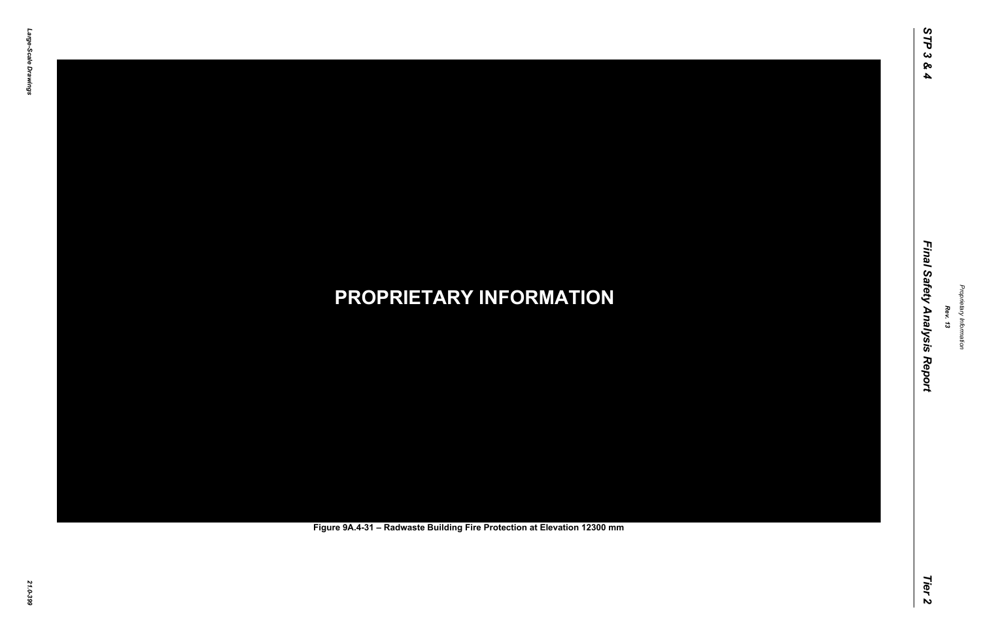## *21.0-399* **PROPRIETARY INFORMATION Figure 9A.4-31 – Radwaste Building Fire Protection at Elevation 12300 mm**

*Rev. 13*

### *STP 3 & 4 Final Safety Analysis Report Tier 2* Final Safety Analysis Report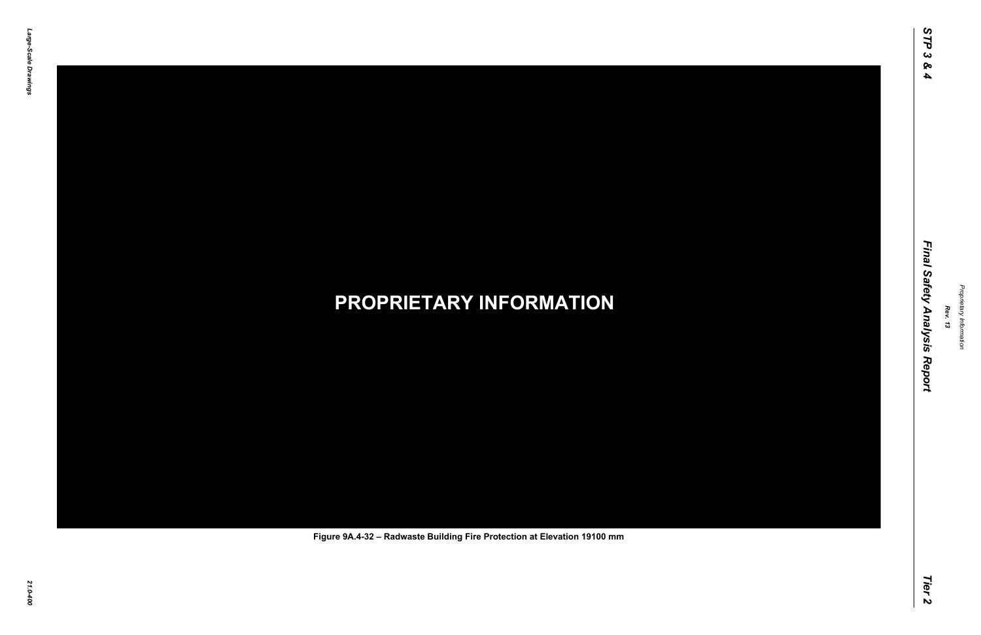### *21.0-400* **PROPRIETARY INFORMATION Figure 9A.4-32 – Radwaste Building Fire Protection at Elevation 19100 mm**

*Rev. 13*

### *STP 3 & 4 Final Safety Analysis Report Tier 2* Final Safety Analysis Report

STP<sub>3</sub>

 $\infty$  $\blacktriangle$ 

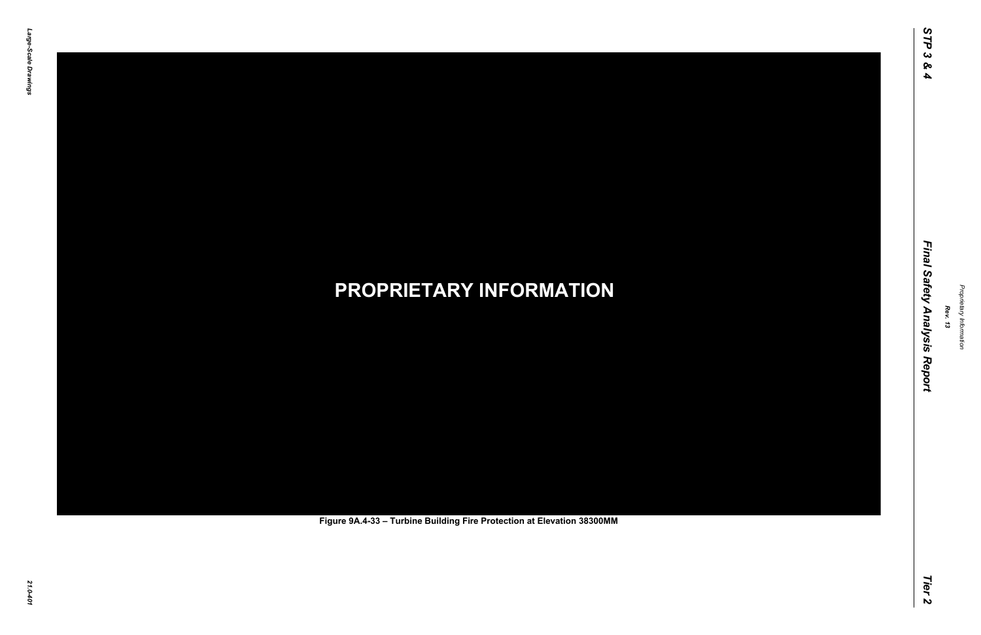# *21.0-401* **PROPRIETARY INFORMATION Figure 9A.4-33 – Turbine Building Fire Protection at Elevation 38300MM**

*Rev. 13*

### *STP 3 & 4 Final Safety Analysis Report Tier 2* Final Safety Analysis Report